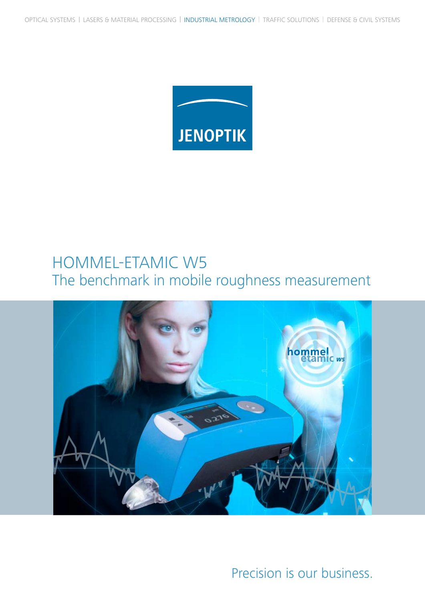

## HOMMEL-ETAMIC W5 The benchmark in mobile roughness measurement



Precision is our business.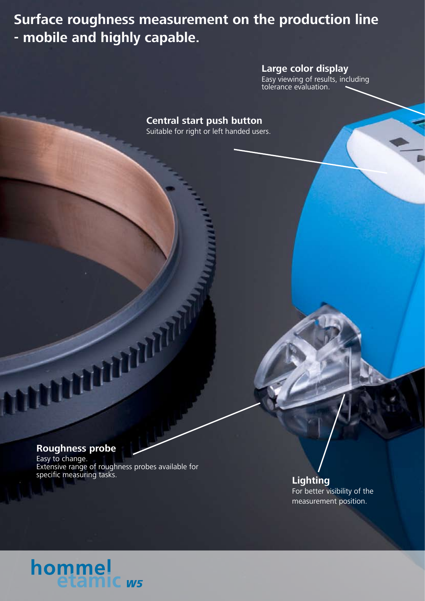**Surface roughness measurement on the production line - mobile and highly capable.**

### **Large color display**

Easy viewing of results, including tolerance evaluation.

**Central start push button** Suitable for right or left handed users.

### **Roughness probe**

Easy to change. Extensive range of roughness probes available for specific measuring tasks.

**Lighting** For better visibility of the measurement position.

# hommel<br>etamic ws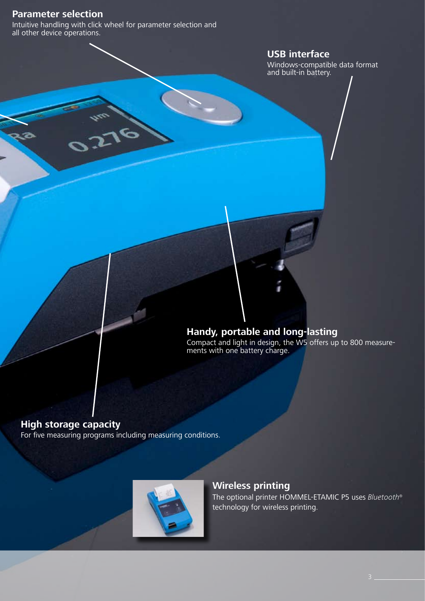### **Parameter selection**

Intuitive handling with click wheel for parameter selection and all other device operations.

### **USB interface**

Windows-compatible data format and built-in battery.

### **Handy, portable and long-lasting**

Compact and light in design, the W5 offers up to 800 measurements with one battery charge.

### **High storage capacity**

For five measuring programs including measuring conditions.



### **Wireless printing**

The optional printer HOMMEL-ETAMIC P5 uses *Bluetooth*® technology for wireless printing.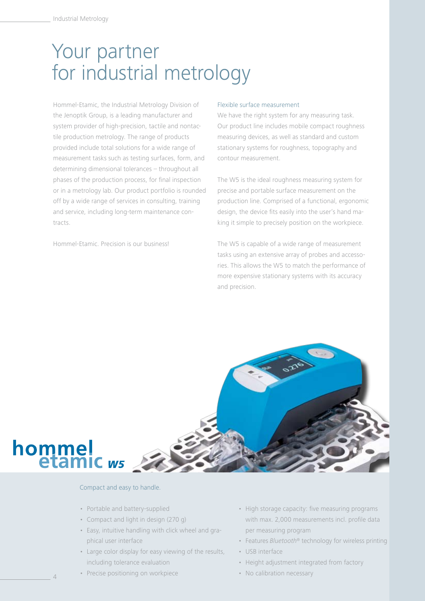## Your partner for industrial metrology

Hommel-Etamic, the Industrial Metrology Division of the Jenoptik Group, is a leading manufacturer and system provider of high-precision, tactile and nontactile production metrology. The range of products provided include total solutions for a wide range of measurement tasks such as testing surfaces, form, and determining dimensional tolerances – throughout all phases of the production process, for final inspection or in a metrology lab. Our product portfolio is rounded off by a wide range of services in consulting, training and service, including long-term maintenance contracts.

Hommel-Etamic. Precision is our business!

#### Flexible surface measurement

We have the right system for any measuring task. Our product line includes mobile compact roughness measuring devices, as well as standard and custom stationary systems for roughness, topography and contour measurement.

The W5 is the ideal roughness measuring system for precise and portable surface measurement on the production line. Comprised of a functional, ergonomic design, the device fits easily into the user's hand making it simple to precisely position on the workpiece.

The W5 is capable of a wide range of measurement tasks using an extensive array of probes and accessories. This allows the W5 to match the performance of more expensive stationary systems with its accuracy and precision.



#### Compact and easy to handle.

- Portable and battery-supplied
- Compact and light in design (270 g)
- Easy, intuitive handling with click wheel and graphical user interface
- Large color display for easy viewing of the results, including tolerance evaluation
- Precise positioning on workpiece
- High storage capacity: five measuring programs with max. 2,000 measurements incl. profile data per measuring program
- Features *Bluetooth*® technology for wireless printing
- USB interface
- Height adjustment integrated from factory
- No calibration necessary

4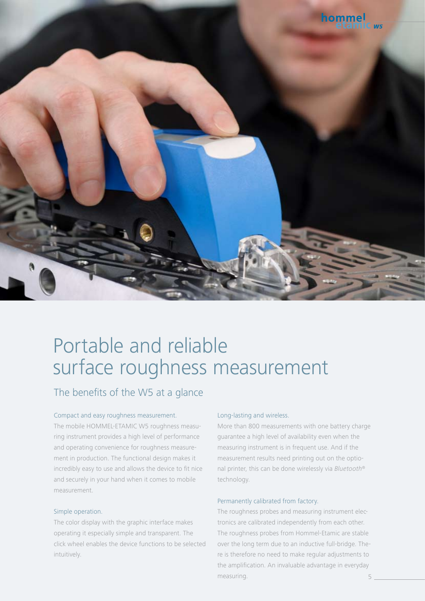

## Portable and reliable surface roughness measurement

### The benefits of the W5 at a glance

#### Compact and easy roughness measurement.

The mobile HOMMEL-ETAMIC W5 roughness measuring instrument provides a high level of performance and operating convenience for roughness measurement in production. The functional design makes it incredibly easy to use and allows the device to fit nice and securely in your hand when it comes to mobile measurement.

#### Simple operation.

The color display with the graphic interface makes operating it especially simple and transparent. The click wheel enables the device functions to be selected intuitively.

#### Long-lasting and wireless.

More than 800 measurements with one battery charge guarantee a high level of availability even when the measuring instrument is in frequent use. And if the measurement results need printing out on the optional printer, this can be done wirelessly via *Bluetooth*® technology.

#### Permanently calibrated from factory.

The roughness probes and measuring instrument electronics are calibrated independently from each other. The roughness probes from Hommel-Etamic are stable over the long term due to an inductive full-bridge. There is therefore no need to make regular adjustments to the amplification. An invaluable advantage in everyday measuring.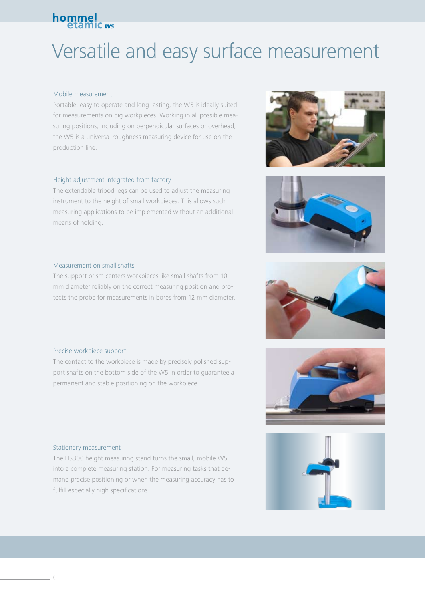## Versatile and easy surface measurement

#### Mobile measurement

Portable, easy to operate and long-lasting, the W5 is ideally suited for measurements on big workpieces. Working in all possible measuring positions, including on perpendicular surfaces or overhead, the W5 is a universal roughness measuring device for use on the production line.

#### Height adjustment integrated from factory

The extendable tripod legs can be used to adjust the measuring instrument to the height of small workpieces. This allows such measuring applications to be implemented without an additional means of holding.

#### Measurement on small shafts

The support prism centers workpieces like small shafts from 10 mm diameter reliably on the correct measuring position and protects the probe for measurements in bores from 12 mm diameter.

#### Precise workpiece support

The contact to the workpiece is made by precisely polished support shafts on the bottom side of the W5 in order to guarantee a permanent and stable positioning on the workpiece.

#### Stationary measurement

The HS300 height measuring stand turns the small, mobile W5 into a complete measuring station. For measuring tasks that demand precise positioning or when the measuring accuracy has to fulfill especially high specifications.









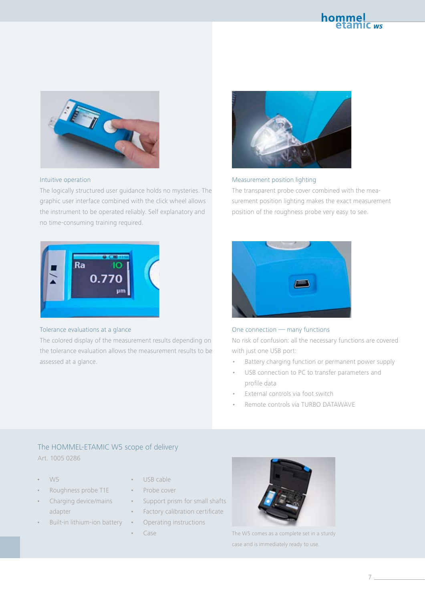



#### Intuitive operation

The logically structured user guidance holds no mysteries. The graphic user interface combined with the click wheel allows the instrument to be operated reliably. Self explanatory and no time-consuming training required.



#### Measurement position lighting

The transparent probe cover combined with the measurement position lighting makes the exact measurement position of the roughness probe very easy to see.



#### Tolerance evaluations at a glance

The colored display of the measurement results depending on the tolerance evaluation allows the measurement results to be assessed at a glance.



#### One connection — many functions

No risk of confusion: all the necessary functions are covered with just one USB port:

- Battery charging function or permanent power supply
- USB connection to PC to transfer parameters and profile data
- External controls via foot switch
- Remote controls via TURBO DATAWAVE

#### The HOMMEL-ETAMIC W5 scope of delivery Art. 1005 0286

- W5
- Roughness probe T1E
- Charging device/mains adapter
- Built-in lithium-ion battery
- USB cable
- Probe cover
- Support prism for small shafts
- Factory calibration certificate
	- Operating instructions
	- Case



The W5 comes as a complete set in a sturdy case and is immediately ready to use.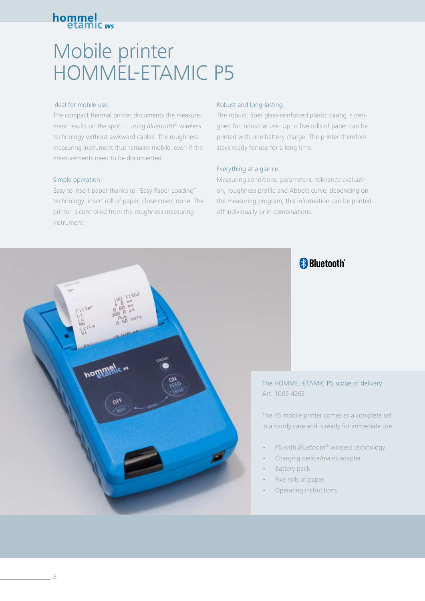## Mobile printer HOMMEL-ETAMIC P5

#### Ideal for mobile use.

The compact thermal printer documents the measurement results on the spot — using *Bluetooth*® wireless technology without awkward cables. The roughness measuring instrument thus remains mobile, even if the measurements need to be documented.

#### Simple operation.

Easy to insert paper thanks to "Easy Paper Loading" technology: insert roll of paper, close cover, done. The printer is controlled from the roughness measuring instrument.

#### Robust and long-lasting.

The robust, fiber glass-reinforced plastic casing is designed for industrial use. Up to five rolls of paper can be printed with one battery charge. The printer therefore stays ready for use for a long time.

#### Everything at a glance.

Measuring conditions, parameters, tolerance evaluation, roughness profile and Abbott curve: depending on the measuring program, this information can be printed off individually or in combinations.

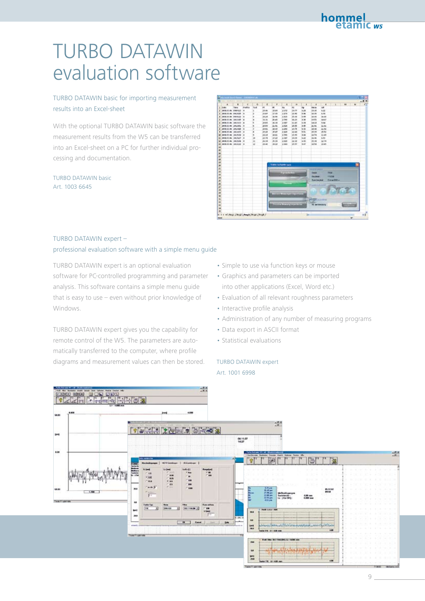## TURBO DATAWIN evaluation software

#### TURBO DATAWIN basic for importing measurement results into an Excel-sheet

With the optional TURBO DATAWIN basic software the measurement results from the W5 can be transferred into an Excel-sheet on a PC for further individual processing and documentation.

#### TURBO DATAWIN basic Art. 1003 6645



#### TURBO DATAWIN expert –

#### professional evaluation software with a simple menu guide

TURBO DATAWIN expert is an optional evaluation software for PC-controlled programming and parameter analysis. This software contains a simple menu guide that is easy to use – even without prior knowledge of Windows.

TURBO DATAWIN expert gives you the capability for remote control of the W5. The parameters are automatically transferred to the computer, where profile diagrams and measurement values can then be stored.

- Simple to use via function keys or mouse
- Graphics and parameters can be imported into other applications (Excel, Word etc.)
- Evaluation of all relevant roughness parameters
- Interactive profile analysis
- Administration of any number of measuring programs
- Data export in ASCII format
- Statistical evaluations

#### TURBO DATAWIN expert Art. 1001 6998



9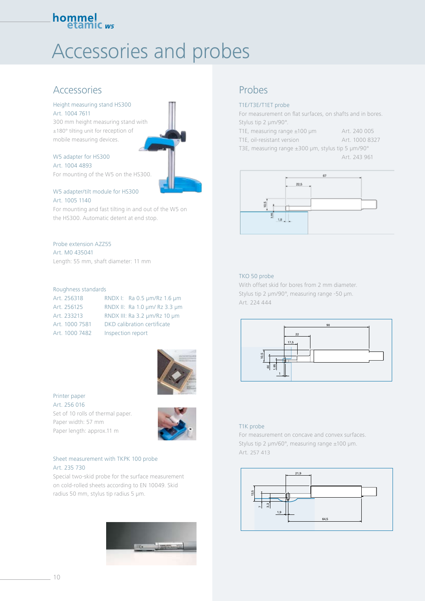## Accessories and probes

### Accessories

#### Height measuring stand HS300 Art. 1004 7611

300 mm height measuring stand with ±180° tilting unit for reception of mobile measuring devices.

#### W5 adapter for HS300 Art. 1004 4893

For mounting of the W5 on the HS300.

#### W5 adapter/tilt module for HS300 Art. 1005 1140

For mounting and fast tilting in and out of the W5 on the HS300. Automatic detent at end stop.

#### Probe extension AZZ55

Art. M0 435041 Length: 55 mm, shaft diameter: 11 mm

#### Roughness standards

| Art. 256318    | RNDX I: Ra 0.5 µm/Rz 1.6 µm   |
|----------------|-------------------------------|
| Art. 256125    | RNDX II: Ra 1.0 um/ Rz 3.3 um |
| Art. 233213    | RNDX III: Ra 3.2 µm/Rz 10 µm  |
| Art. 1000 7581 | DKD calibration certificate   |
| Art. 1000 7482 | Inspection report             |



#### Printer paper Art. 256 016

Set of 10 rolls of thermal paper. Paper width: 57 mm Paper length: approx.11 m



#### Sheet measurement with TKPK 100 probe Art. 235 730

Special two-skid probe for the surface measurement on cold-rolled sheets according to EN 10049. Skid radius 50 mm, stylus tip radius 5 µm.



### Probes

#### T1E/T3E/T1ET probe

For measurement on flat surfaces, on shafts and in bores. Stylus tip 2 µm/90°.

| T1E, measuring range $\pm 100$ µm | Art. 240 005   |
|-----------------------------------|----------------|
| T1E, oil-resistant version        | Art. 1000 8327 |

T3E, measuring range ±300 µm, stylus tip 5 µm/90°

Art. 243 961



#### TKO 50 probe

With offset skid for bores from 2 mm diameter. Stylus tip 2 µm/90°, measuring range -50 µm. Art. 224 444



#### T1K probe

For measurement on concave and convex surfaces. Stylus tip 2 µm/60°, measuring range ±100 µm. Art. 257 413

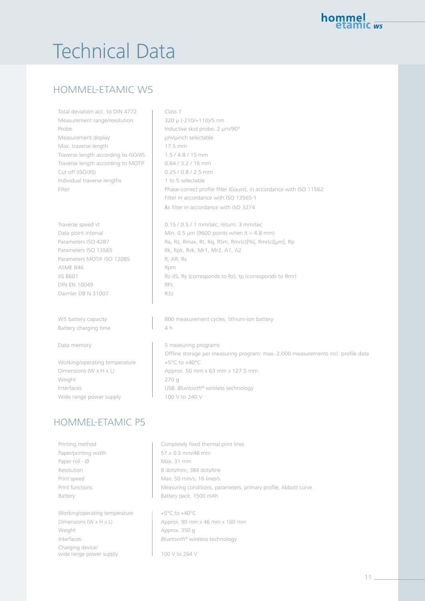## **Technical Data**

### HOMMEL-ETAMIC W5

Total deviation acc. to DIN 4772 | Class 1 Measurement range/resolution 320 µ (-210/+110)/5 nm Probe **Inductive skid probe, 2 µm/90°** Measurement display **1988** um/µinch selectable Max. traverse length 17.5 mm Traverse length according to ISO/JIS | 1.5 / 4.8 / 15 mm Traverse length according to MOTIF | 0.64 / 3.2 / 16 mm Cut off (ISO/JIS) 0.25 / 0.8 / 2.5 mm Individual traverse lengths 1 to 5 selectable

Parameters MOTIF ISO 12085 R, AR, Rx ASME B46 Rpm DIN EN 10049 Daimler DB N 31007 R3z

Battery charging time  $\begin{array}{ccc} & & | & 4 h \end{array}$ 

Working/operating temperature +5°C to +40°C Weight 270 g Wide range power supply  $\frac{1}{100}$  v to 240 V

### HOMMEL-ETAMIC P5

Paper roll -  $\emptyset$  Max. 31 mm

Working/operating temperature  $+5^{\circ}$ C to  $+40^{\circ}$ C Weight **Approx. 350 g** Charging device/ wide range power supply 100 V to 264 V

Filter **Phase-correct profile filter (Gauss)**, in accordance with ISO 11562 Filter in accordance with ISO 13565-1 λs filter in accordance with ISO 3274

Traverse speed vt 1 mm/sec; return: 3 mm/sec Data point interval Min. 0.5  $\mu$ m (9600 points when It = 4.8 mm) Parameters ISO 4287 Ra, Rz, Rmax, Rt, Rq, RSm, Rmr(c)[%], Rmr(c)[µm], Rp Parameters ISO 13565 Rk, Rpk, Rvk, Mr1, Mr2, A1, A2 JIS B601 Rz-JIS, Ry (corresponds to Rz), tp (corresponds to Rmr)

W5 battery capacity and the summan assurement cycles, lithium-ion battery

Data memory **1988 1988 1988 1988 1988 1988 1988 1988 1988 1988 1988 1988 1988 1988 1988 1988 1988 1988 1988 1988 1988 1988 1988 1988 1988 1988 1988 1988 1988 1988** Offline storage per measuring program: max. 2,000 measurements incl. profile data Dimensions (W x H x L) Approx. 50 mm x 63 mm x 127.5 mm Interfaces USB, *Bluetooth*® wireless technology

Printing method Theorem Completely fixed thermal print lines Paper/printing width  $\frac{1}{57 \pm 0.5}$  mm/48 mm Resolution 8 dots/mm; 384 dots/line Print speed Max. 50 mm/s; 16 lines/s Print functions **Measuring conditions**, parameters, primary profile, Abbott curve Battery **Battery Battery** pack, 1500 mAh

Dimensions (W x H x L) Approx. 90 mm x 46 mm x 160 mm Interfaces *Bluetooth*® wireless technology